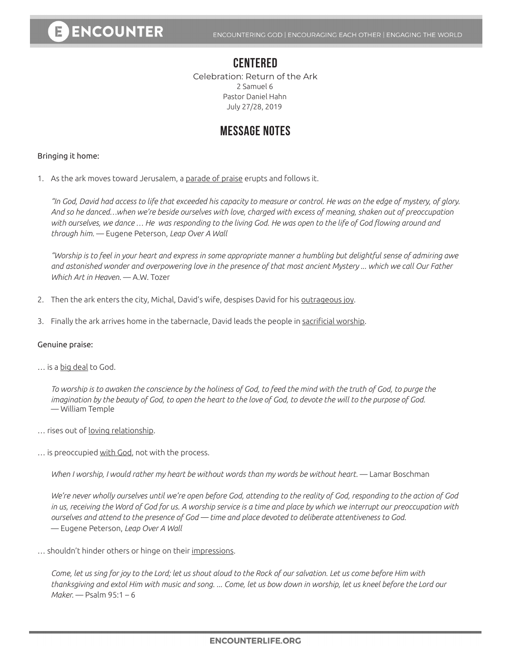### **CENTERED**

Celebration: Return of the Ark 2 Samuel 6 Pastor Daniel Hahn July 27/28, 2019

## **MESSAGE NOTES**

#### Bringing it home:

1. As the ark moves toward Jerusalem, a parade of praise erupts and follows it.

*"In God, David had access to life that exceeded his capacity to measure or control. He was on the edge of mystery, of glory. And so he danced…when we're beside ourselves with love, charged with excess of meaning, shaken out of preoccupation with ourselves, we dance … He was responding to the living God. He was open to the life of God flowing around and through him.* — Eugene Peterson, *Leap Over A Wall*

*"Worship is to feel in your heart and express in some appropriate manner a humbling but delightful sense of admiring awe and astonished wonder and overpowering love in the presence of that most ancient Mystery ... which we call Our Father Which Art in Heaven.* — A.W. Tozer

- 2. Then the ark enters the city, Michal, David's wife, despises David for his outrageous joy.
- 3. Finally the ark arrives home in the tabernacle, David leads the people in sacrificial worship.

#### Genuine praise:

... is a big deal to God.

*To worship is to awaken the conscience by the holiness of God, to feed the mind with the truth of God, to purge the imagination by the beauty of God, to open the heart to the love of God, to devote the will to the purpose of God.*  — William Temple

- ... rises out of <u>loving relationship</u>.
- ... is preoccupied with God, not with the process.

*When I worship, I would rather my heart be without words than my words be without heart.* — Lamar Boschman

*We're never wholly ourselves until we're open before God, attending to the reality of God, responding to the action of God in us, receiving the Word of God for us. A worship service is a time and place by which we interrupt our preoccupation with ourselves and attend to the presence of God — time and place devoted to deliberate attentiveness to God.*  — Eugene Peterson, *Leap Over A Wall*

... shouldn't hinder others or hinge on their impressions.

*Come, let us sing for joy to the Lord; let us shout aloud to the Rock of our salvation. Let us come before Him with thanksgiving and extol Him with music and song. ... Come, let us bow down in worship, let us kneel before the Lord our Maker.* — Psalm 95:1 – 6